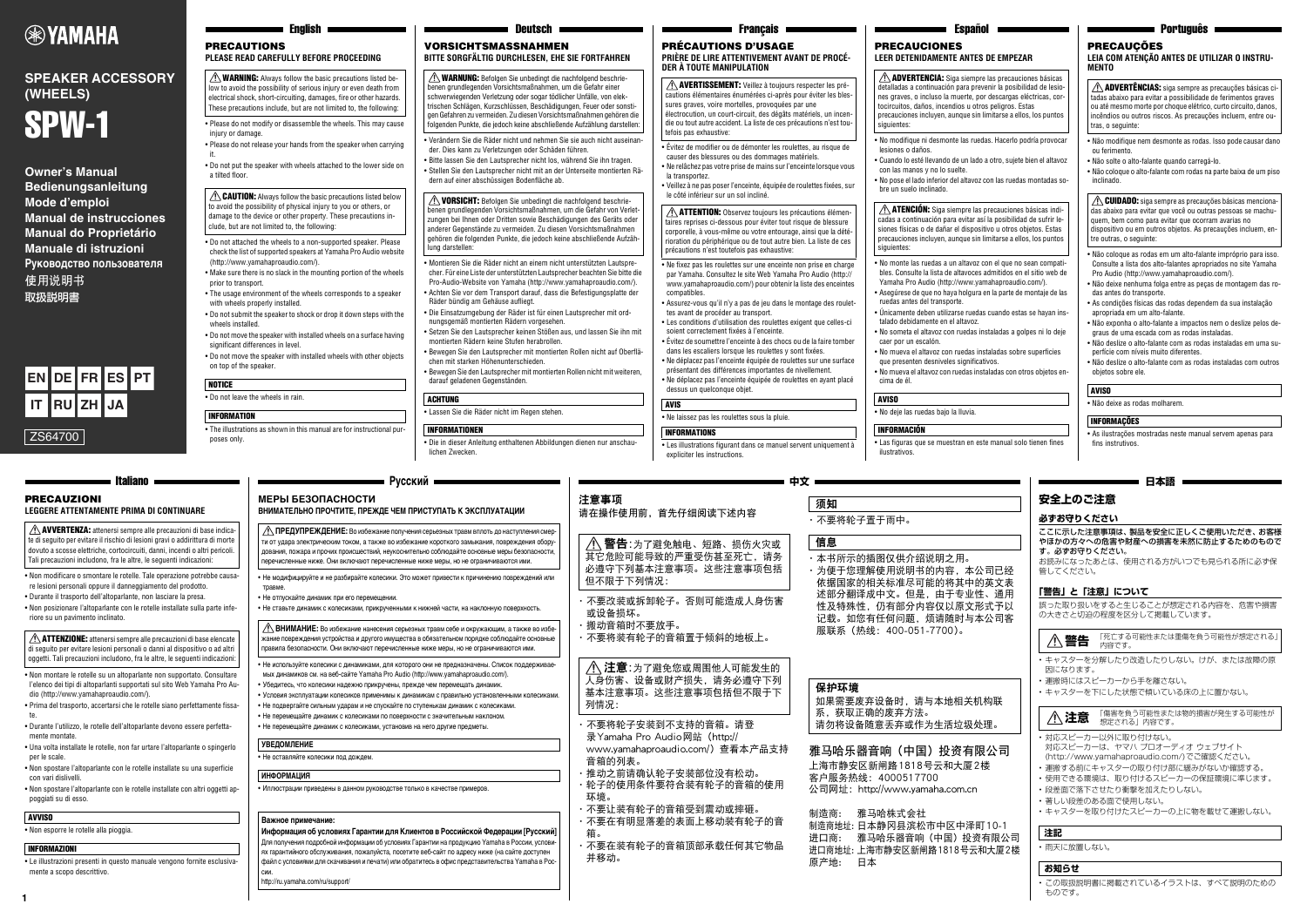**1**

#### 注意事项 请在操作使用前,首先仔细阅读下述内容

- ·不要改装或拆卸轮子。否则可能造成人身伤害 或设备损坏。
- ·搬动音箱时不要放手。
- ·不要将装有轮子的音箱置于倾斜的地板上。

- ·不要将轮子安装到不支持的音箱。请登 录Yamaha Pro Audio网站(http:// www.yamahaproaudio.com/)查看本产品支持
- 音箱的列表。 ·推动之前请确认轮子安装部位没有松动。
- ·轮子的使用条件要符合装有轮子的音箱的使用 环境。
- ·不要让装有轮子的音箱受到震动或摔砸。
- ·不要在有明显落差的表面上移动装有轮子的音 箱。
- ·不要在装有轮子的音箱顶部承载任何其它物品 并移动。

·不要将轮子置于雨中。

·本书所示的插图仅供介绍说明之用。

依据国家的相关标准尽可能的将其中的英文表 述部分翻译成中文。但是,由于专业性、通用 性及特殊性,仍有部分内容仅以原文形式予以

八 注意:为了避免您或周围他人可能发生的 人身伤害、设备或财产损失,请务必遵守下列 基本注意事项。这些注意事项包括但不限于下 列情况:

服联系(热线:400-051-7700)。

雅马哈乐器音响(中国)投资有限公司 上海市静安区新闸路1818号云和大厦2楼

客户服务热线:4000517700

制造商: 雅马哈株式会社

制造商地址: 日本静冈县滨松市中区中泽町10-1 进口商: 雅马哈乐器音响(中国)投资有限公司 进口商地址: 上海市静安区新闸路1818号云和大厦2楼

原产地: 日本

警告:为了避免触电、短路、损伤火灾或

其它危险可能导致的严重受伤甚至死亡,请务 必遵守下列基本注意事项。这些注意事项包括 但不限于下列情况:

须知

信息

保护环境

公司网址: http://www.yamaha.com.cn

系,获取正确的废弃方法。

# VORSICHTSMASSNAHMEN

**BITTE SORGFÄLTIG DURCHLESEN, EHE SIE FORTFAHREN**

- Verändern Sie die Räder nicht und nehmen Sie sie auch nicht auseinander. Dies kann zu Verletzungen oder Schäden führen.
- Bitte lassen Sie den Lautsprecher nicht los, während Sie ihn tragen. • Stellen Sie den Lautsprecher nicht mit an der Unterseite montierten Rädern auf einer abschüssigen Bodenfläche ab.

 $\triangle$  WARNUNG: Befolgen Sie unbedingt die nachfolgend beschriebenen grundlegenden Vorsichtsmaßnahmen, um die Gefahr einer schwerwiegenden Verletzung oder sogar tödlicher Unfälle, von elektrischen Schlägen, Kurzschlüssen, Beschädigungen, Feuer oder sonstigen Gefahren zu vermeiden. Zu diesen Vorsichtsmaßnahmen gehören die folgenden Punkte, die jedoch keine abschließende Aufzählung darstellen:

 $\triangle$  VORSICHT: Befolgen Sie unbedingt die nachfolgend beschriebenen grundlegenden Vorsichtsmaßnahmen, um die Gefahr von Verletzungen bei Ihnen oder Dritten sowie Beschädigungen des Geräts oder anderer Gegenstände zu vermeiden. Zu diesen Vorsichtsmaßnahmen gehören die folgenden Punkte, die jedoch keine abschließende Aufzählung darstellen:

- Montieren Sie die Räder nicht an einem nicht unterstützten Lautsprecher. Für eine Liste der unterstützten Lautsprecher beachten Sie bitte die Pro-Audio-Website von Yamaha (http://www.yamahaproaudio.com/). • Achten Sie vor dem Transport darauf, dass die Befestigungsplatte der Räder bündig am Gehäuse aufliegt.
- Die Einsatzumgebung der Räder ist für einen Lautsprecher mit ordnungsgemäß montierten Rädern vorgesehen.
- Setzen Sie den Lautsprecher keinen Stößen aus, und lassen Sie ihn mit montierten Rädern keine Stufen herabrollen.
- Bewegen Sie den Lautsprecher mit montierten Rollen nicht auf Oberflächen mit starken Höhenunterschieden.
- Bewegen Sie den Lautsprecher mit montierten Rollen nicht mit weiteren, darauf geladenen Gegenständen.

• Lassen Sie die Räder nicht im Regen stehen.

#### INFORMATIONEN

• Die in dieser Anleitung enthaltenen Abbildungen dienen nur anschaulichen Zwecken.

 $\hat{\mathcal{N}}$  WARNING: Always follow the basic precautions listed below to avoid the possibility of serious injury or even death from electrical shock, short-circuiting, damages, fire or other hazards. These precautions include, but are not limited to, the following:

 $\triangle$  CAUTION: Always follow the basic precautions listed below to avoid the possibility of physical injury to you or others, or damage to the device or other property. These precautions in-

#### ACHTUNG

PRECAUTIONS

injury or damage.

**PLEASE READ CAREFULLY BEFORE PROCEEDING**

• Please do not modify or disassemble the wheels. This may cause

 $\bigwedge$  AVERTISSEMENT: Veillez à toujours respecter les précautions élémentaires énumérées ci-après pour éviter les blessures graves, voire mortelles, provoquées par une électrocution, un court-circuit, des dégâts matériels, un incendie ou tout autre accident. La liste de ces précautions n'est toutefois pas exhaustive:

• Please do not release your hands from the speaker when carrying

it.

• Do not put the speaker with wheels attached to the lower side on

 $\triangle$  **ATTENTION:** Observez toujours les précautions élémentaires reprises ci-dessous pour éviter tout risque de blessure corporelle, à vous-même ou votre entourage, ainsi que la détérioration du périphérique ou de tout autre bien. La liste de ces précautions n'est toutefois pas exhaustive:

a tilted floor.

• Do not attached the wheels to a non-supported speaker. Please check the list of supported speakers at Yamaha Pro Audio website

(http://www.yamahaproaudio.com/).

• Make sure there is no slack in the mounting portion of the wheels

prior to transport.

• The usage environment of the wheels corresponds to a speaker

with wheels properly installed.

significant differences in level

• Do not submit the speaker to shock or drop it down steps with the

wheels installed.

• Do not move the speaker with installed wheels on a surface having

• Do not move the speaker with installed wheels with other objects

on top of the speaker.

• Do not leave the wheels in rain.

 $\triangle$  **ADVERTENCIA:** Siga siempre las precauciones básicas detalladas a continuación para prevenir la posibilidad de lesiones graves, o incluso la muerte, por descargas eléctricas, cortocircuitos, daños, incendios u otros peligros. Estas precauciones incluyen, aunque sin limitarse a ellos, los puntos siguientes:

• The illustrations as shown in this manual are for instructional pur-

poses only.

**INFORMATION** 

**NOTICE** 

 $\triangle$  **ATENCIÓN:** Siga siempre las precauciones básicas indicadas a continuación para evitar así la posibilidad de sufrir lesiones físicas o de dañar el dispositivo u otros objetos. Estas precauciones incluyen, aunque sin limitarse a ellos, los puntos

clude, but are not limited to, the following:

#### PRÉCAUTIONS D'USAGE

**PRIÈRE DE LIRE ATTENTIVEMENT AVANT DE PROCÉ-DER À TOUTE MANIPULATION**

- Évitez de modifier ou de démonter les roulettes, au risque de causer des blessures ou des dommages matériels. • Ne relâchez pas votre prise de mains sur l'enceinte lorsque vous
- la transportez.
- le côté inférieur sur un sol incliné.

• Veillez à ne pas poser l'enceinte, équipée de roulettes fixées, sur

siguientes<sup>.</sup>

- Ne fixez pas les roulettes sur une enceinte non prise en charge par Yamaha. Consultez le site Web Yamaha Pro Audio (http:// www.yamahaproaudio.com/) pour obtenir la liste des enceintes compatibles.
- Assurez-vous qu'il n'y a pas de jeu dans le montage des roulettes avant de procéder au transport.
- Les conditions d'utilisation des roulettes exigent que celles-ci
- Évitez de soumettre l'enceinte à des chocs ou de la faire tomber
- 
- présentant des différences importantes de nivellement. • Ne déplacez pas l'enceinte équipée de roulettes en ayant placé

dessus un quelconque objet.

- 
- 
- soient correctement fixées à l'enceinte.
- dans les escaliers lorsque les roulettes y sont fixées.
- Ne déplacez pas l'enceinte équipée de roulettes sur une surface

·为便于您理解使用说明书的内容,本公司已经 记载。如您有任何问题,烦请随时与本公司客 如果需要废弃设备时,请与本地相关机构联 请勿将设备随意丢弃或作为生活垃圾处理。 **日本語 安全上のご注意 必ずお守りください** ここに示した注意事項は、製品を安全に正しくご使用いただき、お客様 やほかの方々への危害や財産への損害を未然に防止するためのもので す。必ずお守りください。 お読みになったあとは、使用される方がいつでも見られる所に必ず保 管してください。 **「警告」と「注意」について** 誤った取り扱いをすると生じることが想定される内容を、危害や損害 の大きさと切迫の程度を区分して掲載しています。 • キャスターを分解したり改造したりしない。けが、または故障の原 因になります。 • 運搬時にはスピーカーから手を離さない。 • キャスターを下にした状態で傾いている床の上に置かない。 • 対応スピーカー以外に取り付けない。 対応スピーカーは、ヤマハ プロオーディオ ウェブサイト (http://www.yamahaproaudio.com/)でご確認ください。 • 運搬する前にキャスターの取り付け部に緩みがないか確認する。 • 使用できる環境は、取り付けるスピーカーの保証環境に準じます。 • 段差面で落下させたり衝撃を加えたりしない。 • 著しい段差のある面で使用しない。 • キャスターを取り付けたスピーカーの上に物を載せて運搬しない。 **警告** 「死亡する可能性または重傷を負う可能性が想定される」  $\bigwedge$ 警告  $\bigwedge_{\mathsf{R}\mathsf{R}}$ 警告  $\bigwedge_{\mathsf{R}\mathsf{R}}\mathsf{R}\mathsf{R}$ **注意** 「傷害を負う可能性または物的損害が発生する可能性が 想定される」内容です。 **注記**

• Les illustrations figurant dans ce manuel servent uniquement à expliciter les instructions.

一 中文 一

 $\triangle$  **AVVERTENZA:** attenersi sempre alle precauzioni di base indicate di seguito per evitare il rischio di lesioni gravi o addirittura di morte dovuto a scosse elettriche, cortocircuiti, danni, incendi o altri pericoli. Tali precauzioni includono, fra le altre, le seguenti indicazioni:

• Ne laissez pas les roulettes sous la pluie. AVIS

 $\triangle$  **ATTENZIONE:** attenersi sempre alle precauzioni di base elencate di seguito per evitare lesioni personali o danni al dispositivo o ad altri oggetti. Tali precauzioni includono, fra le altre, le seguenti indicazioni:

#### **Русский МЕРЫ БЕЗОПАСНОСТИ**

• Не отпускайте динамик при его перемещении • Не ставьте динамик с колесиками, прикрученными к нижней части, на наклонную поверхность.

• Не используйте колесики с динамиками, для которого они не предназначены. Список поддерживае мых динамиков см. на веб-сайте Yamaha Pro Audio (http://www.yamahaproaudio.com/).

# INFORMATIONS

# PRECAUCIONES

# **LEER DETENIDAMENTE ANTES DE EMPEZAR**

• No modifique ni desmonte las ruedas. Hacerlo podría provocar lesiones o daños.

• Cuando lo esté llevando de un lado a otro, sujete bien el altavoz con las manos y no lo suelte.

• No pose el lado inferior del altavoz con las ruedas montadas so-

bre un suelo inclinado.

 $\hat{A}$  ПРЕДУПРЕЖДЕНИЕ: Во избежание получения серьезных травм вплоть до наступления смер ти от удара электрическим током, а также во избежание короткого замыкания, повреждения оборудования, пожара и прочих происшествий, неукоснительно соблюдайте основные меры безопасности, перечисленные ниже. Они включают перечисленные ниже меры, но не ограничиваются ими.

• No monte las ruedas a un altavoz con el que no sean compatibles. Consulte la lista de altavoces admitidos en el sitio web de Yamaha Pro Audio (http://www.yamahaproaudio.com/).

• Asegúrese de que no haya holgura en la parte de montaje de las

ruedas antes del transporte.

• Únicamente deben utilizarse ruedas cuando estas se hayan ins-

talado debidamente en el altavoz.

• No someta el altavoz con ruedas instaladas a golpes ni lo deje

caer por un escalón.

• No mueva el altavoz con ruedas instaladas sobre superficies que presenten desniveles significativos.

• No mueva el altavoz con ruedas instaladas con otros objetos en-

cima de él.

**AVISO** 

• No deje las ruedas bajo la lluvia.

• Las figuras que se muestran en este manual solo tienen fines

ilustrativos.

**INFORMACIÓN** 

**Owner's Manual Bedienungsanleitung Mode d'emploi Manual de instrucciones Manual do Proprietário Manuale di istruzioni Руководство пользователя** 使用说明书 取扱説明書

| Português |  |
|-----------|--|
| CAUCÕES   |  |

 $=$  Español  $=$ 

**LEIA COM ATENÇÃO ANTES DE UTILIZAR O INSTRU-MENTO**

- Não modifique nem desmonte as rodas. Isso pode causar dano ou ferimento.
- Não solte o alto-falante quando carregá-lo.
- Não coloque o alto-falante com rodas na parte baixa de um piso inclinado.

 $\triangle$  CUIDADO: siga sempre as precauções básicas mencionadas abaixo para evitar que você ou outras pessoas se machuquem, bem como para evitar que ocorram avarias no dispositivo ou em outros objetos. As precauções incluem, entre outras, o seguinte:

- Não coloque as rodas em um alto-falante impróprio para isso. Consulte a lista dos alto-falantes apropriados no site Yamaha Pro Audio (http://www.yamahaproaudio.com/).
- Não deixe nenhuma folga entre as peças de montagem das rodas antes do transporte.
- As condições físicas das rodas dependem da sua instalação apropriada em um alto-falante.
- Não exponha o alto-falante a impactos nem o deslize pelos degraus de uma escada com as rodas instaladas.
- Não deslize o alto-falante com as rodas instaladas em uma superfície com níveis muito diferentes.
- Não deslize o alto-falante com as rodas instaladas com outros objetos sobre ele.

• Não deixe as rodas molharem.

• As ilustrações mostradas neste manual servem apenas para fins instrutivos.

ADVERTÊNCIAS: siga sempre as precauções básicas citadas abaixo para evitar a possibilidade de ferimentos graves ou até mesmo morte por choque elétrico, curto circuito, danos, incêndios ou outros riscos. As precauções incluem, entre outras, o seguinte:

#### AVISO

#### INFORMAÇÕES

# **EXPAMAHA**

# **SPEAKER ACCESSORY (WHEELS)**



• 雨天に放置しない。

• この取扱説明書に掲載されているイラストは、すべて説明のための ものです。

# **PREC**

#### **お知らせ**

PRECAUZIONI

**LEGGERE ATTENTAMENTE PRIMA DI CONTINUARE**

• Non modificare o smontare le rotelle. Tale operazione potrebbe causare lesioni personali oppure il danneggiamento del prodotto. • Durante il trasporto dell'altoparlante, non lasciare la presa.

• Non posizionare l'altoparlante con le rotelle installate sulla parte inferiore su un pavimento inclinato.

- Non montare le rotelle su un altoparlante non supportato. Consultare l'elenco dei tipi di altoparlanti supportati sul sito Web Yamaha Pro Audio (http://www.yamahaproaudio.com/).
- Prima del trasporto, accertarsi che le rotelle siano perfettamente fissate.
- Durante l'utilizzo, le rotelle dell'altoparlante devono essere perfettamente montate.
- Una volta installate le rotelle, non far urtare l'altoparlante o spingerlo per le scale.
- Non spostare l'altoparlante con le rotelle installate su una superficie con vari dislivelli.
- Non spostare l'altoparlante con le rotelle installate con altri oggetti appoggiati su di esso.

#### **AVVISO**

• Non esporre le rotelle alla pioggia.

• Le illustrazioni presenti in questo manuale vengono fornite esclusivamente a scopo descrittivo.

#### **Beutsch**



#### **Italiano III**

#### INFORMAZIONI

**ВНИМАТЕЛЬНО ПРОЧТИТЕ, ПРЕЖДЕ ЧЕМ ПРИСТУПАТЬ К ЭКСПЛУАТАЦИИ**

• Не модифицируйте и не разбирайте колесики. Это может привести к причинению повреждений или травме.

- Убедитесь, что колесики надежно прикручены, прежде чем перемещать динамик.
- Условия эксплуатации колесиков применимы к динамикам с правильно установленными колесиками • Не подвергайте сильным ударам и не спускайте по ступенькам динамик с колесиками.
- Не перемещайте динамик с колесиками по поверхности с значительным наклоном.
- Не перемещайте динамик с колесиками, установив на него другие предметы.

• Иллюстрации приведены в данном руководстве только в качестве примеров.

**ВНИМАНИЕ:** Во избежание нанесения серьезных травм себе и окружающим, а также во избежание повреждения устройства и другого имущества в обязательном порядке соблюдайте основные правила безопасности. Они включают перечисленные ниже меры, но не ограничиваются ими.

**УВЕДОМЛЕНИЕ**

• Не оставляйте колесики под дождем.

 $=$  English  $=$ 

**ИНФОРМАЦИЯ**

#### **Важное примечание:**

**Информация об условиях Гарантии для Клиентов в Российской Федерации [Русский]** Для получения подробной информации об условиях Гарантии на продукцию Yamaha в России, условиях гарантийного обслуживания, пожалуйста, посетите веб-сайт по адресу ниже (на сайте доступен файл с условиями для скачивания и печати) или обратитесь в офис представительства Yamaha в России.

http://ru.yamaha.com/ru/support/

### $=$  Français  $=$